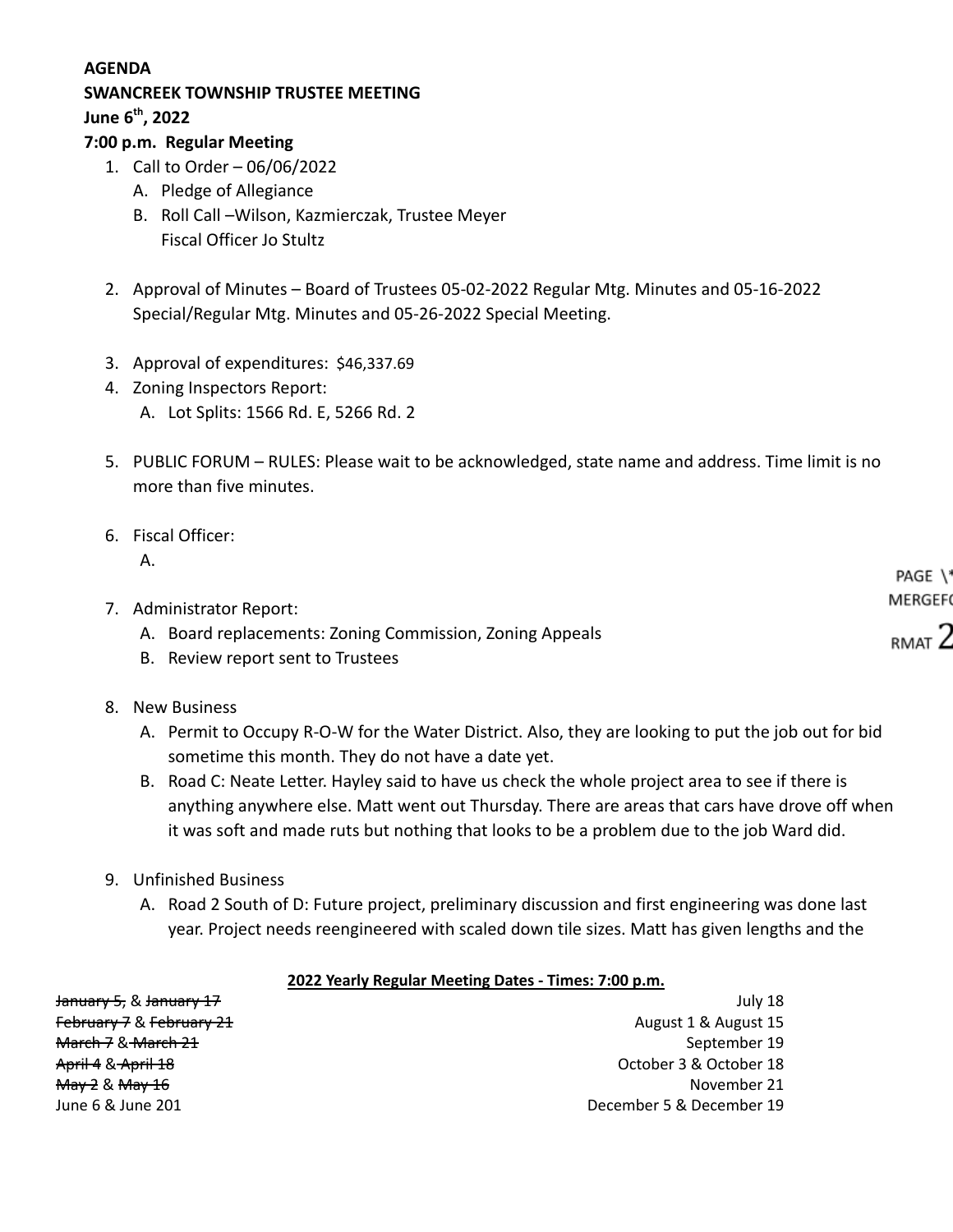#### **AGENDA**

# **SWANCREEK TOWNSHIP TRUSTEE MEETING**

**June 6th , 2022**

### **7:00 p.m. Regular Meeting**

- 1. Call to Order 06/06/2022
	- A. Pledge of Allegiance
	- B. Roll Call –Wilson, Kazmierczak, Trustee Meyer Fiscal Officer Jo Stultz
- 2. Approval of Minutes Board of Trustees 05-02-2022 Regular Mtg. Minutes and 05-16-2022 Special/Regular Mtg. Minutes and 05-26-2022 Special Meeting.
- 3. Approval of expenditures: \$46,337.69
- 4. Zoning Inspectors Report: A. Lot Splits: 1566 Rd. E, 5266 Rd. 2
- 5. PUBLIC FORUM RULES: Please wait to be acknowledged, state name and address. Time limit is no more than five minutes.
- 6. Fiscal Officer: A.

|                                                          | <b>PAGE</b> \* |
|----------------------------------------------------------|----------------|
| 7. Administrator Report:                                 | MERGEFO        |
| A. Board replacements: Zoning Commission, Zoning Appeals | RMAT Z         |
| B. Review report sent to Trustees                        |                |

- 8. New Business
	- A. Permit to Occupy R-O-W for the Water District. Also, they are looking to put the job out for bid sometime this month. They do not have a date yet.
	- B. Road C: Neate Letter. Hayley said to have us check the whole project area to see if there is anything anywhere else. Matt went out Thursday. There are areas that cars have drove off when it was soft and made ruts but nothing that looks to be a problem due to the job Ward did.
- 9. Unfinished Business
	- A. Road 2 South of D: Future project, preliminary discussion and first engineering was done last year. Project needs reengineered with scaled down tile sizes. Matt has given lengths and the

#### **2022 Yearly Regular Meeting Dates - Times: 7:00 p.m.**

| January 5, & January 17                  | July 18                  |
|------------------------------------------|--------------------------|
| February 7 & February 21                 | August 1 & August 15     |
| <del>March 7</del> & <del>March 21</del> | September 19             |
| <del>April 4</del> & <del>April 18</del> | October 3 & October 18   |
| <del>May 2</del> & <del>May 16</del>     | November 21              |
| June 6 & June 201                        | December 5 & December 19 |